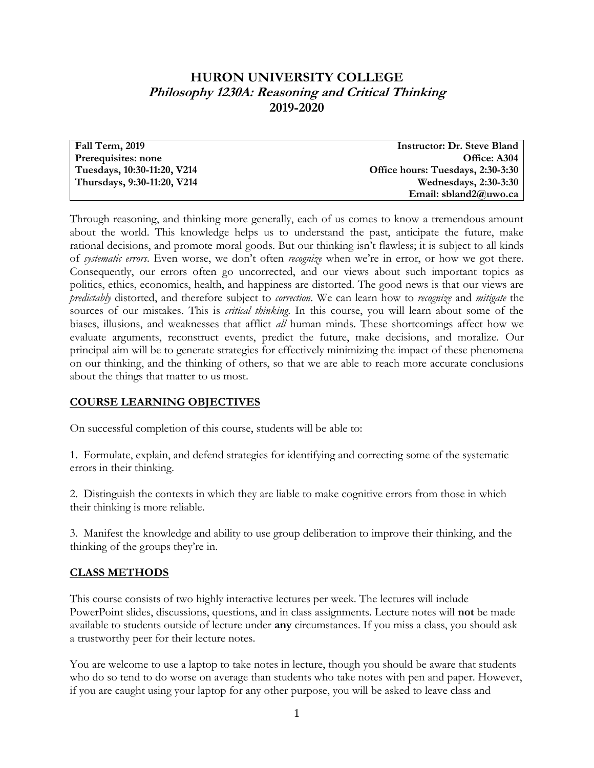# **HURON UNIVERSITY COLLEGE Philosophy 1230A: Reasoning and Critical Thinking 2019-2020**

| Fall Term, 2019             | <b>Instructor: Dr. Steve Bland</b> |
|-----------------------------|------------------------------------|
| Prerequisites: none         | Office: A304                       |
| Tuesdays, 10:30-11:20, V214 | Office hours: Tuesdays, 2:30-3:30  |
| Thursdays, 9:30-11:20, V214 | <b>Wednesdays, 2:30-3:30</b>       |
|                             | Email: sbland2@uwo.ca              |

Through reasoning, and thinking more generally, each of us comes to know a tremendous amount about the world. This knowledge helps us to understand the past, anticipate the future, make rational decisions, and promote moral goods. But our thinking isn't flawless; it is subject to all kinds of *systematic errors*. Even worse, we don't often *recognize* when we're in error, or how we got there. Consequently, our errors often go uncorrected, and our views about such important topics as politics, ethics, economics, health, and happiness are distorted. The good news is that our views are *predictably* distorted, and therefore subject to *correction*. We can learn how to *recognize* and *mitigate* the sources of our mistakes. This is *critical thinking*. In this course, you will learn about some of the biases, illusions, and weaknesses that afflict *all* human minds. These shortcomings affect how we evaluate arguments, reconstruct events, predict the future, make decisions, and moralize. Our principal aim will be to generate strategies for effectively minimizing the impact of these phenomena on our thinking, and the thinking of others, so that we are able to reach more accurate conclusions about the things that matter to us most.

## **COURSE LEARNING OBJECTIVES**

On successful completion of this course, students will be able to:

1. Formulate, explain, and defend strategies for identifying and correcting some of the systematic errors in their thinking.

2. Distinguish the contexts in which they are liable to make cognitive errors from those in which their thinking is more reliable.

3. Manifest the knowledge and ability to use group deliberation to improve their thinking, and the thinking of the groups they're in.

## **CLASS METHODS**

This course consists of two highly interactive lectures per week. The lectures will include PowerPoint slides, discussions, questions, and in class assignments. Lecture notes will **not** be made available to students outside of lecture under **any** circumstances. If you miss a class, you should ask a trustworthy peer for their lecture notes.

You are welcome to use a laptop to take notes in lecture, though you should be aware that students who do so tend to do worse on average than students who take notes with pen and paper. However, if you are caught using your laptop for any other purpose, you will be asked to leave class and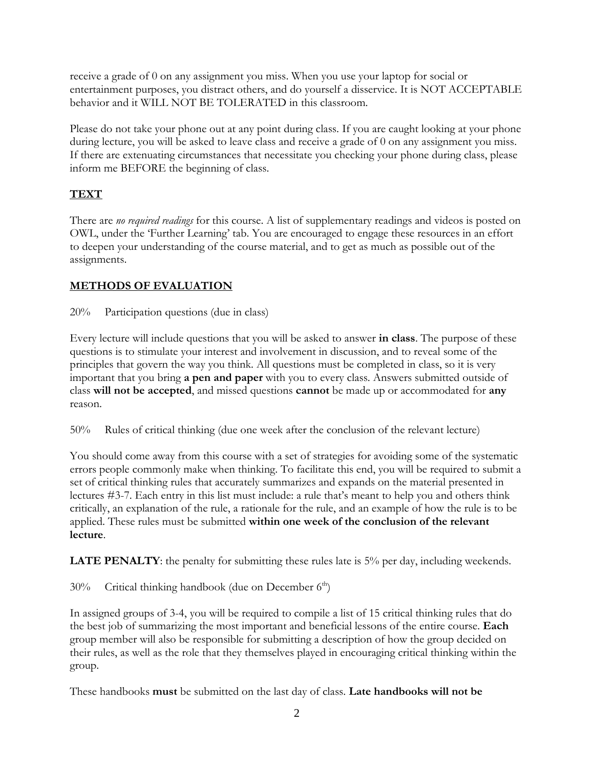receive a grade of 0 on any assignment you miss. When you use your laptop for social or entertainment purposes, you distract others, and do yourself a disservice. It is NOT ACCEPTABLE behavior and it WILL NOT BE TOLERATED in this classroom.

Please do not take your phone out at any point during class. If you are caught looking at your phone during lecture, you will be asked to leave class and receive a grade of 0 on any assignment you miss. If there are extenuating circumstances that necessitate you checking your phone during class, please inform me BEFORE the beginning of class.

# **TEXT**

There are *no required readings* for this course. A list of supplementary readings and videos is posted on OWL, under the 'Further Learning' tab. You are encouraged to engage these resources in an effort to deepen your understanding of the course material, and to get as much as possible out of the assignments.

## **METHODS OF EVALUATION**

20% Participation questions (due in class)

Every lecture will include questions that you will be asked to answer **in class**. The purpose of these questions is to stimulate your interest and involvement in discussion, and to reveal some of the principles that govern the way you think. All questions must be completed in class, so it is very important that you bring **a pen and paper** with you to every class. Answers submitted outside of class **will not be accepted**, and missed questions **cannot** be made up or accommodated for **any** reason.

50% Rules of critical thinking (due one week after the conclusion of the relevant lecture)

You should come away from this course with a set of strategies for avoiding some of the systematic errors people commonly make when thinking. To facilitate this end, you will be required to submit a set of critical thinking rules that accurately summarizes and expands on the material presented in lectures #3-7. Each entry in this list must include: a rule that's meant to help you and others think critically, an explanation of the rule, a rationale for the rule, and an example of how the rule is to be applied. These rules must be submitted **within one week of the conclusion of the relevant lecture**.

**LATE PENALTY**: the penalty for submitting these rules late is 5% per day, including weekends.

 $30\%$  Critical thinking handbook (due on December  $6<sup>th</sup>$ )

In assigned groups of 3-4, you will be required to compile a list of 15 critical thinking rules that do the best job of summarizing the most important and beneficial lessons of the entire course. **Each** group member will also be responsible for submitting a description of how the group decided on their rules, as well as the role that they themselves played in encouraging critical thinking within the group.

These handbooks **must** be submitted on the last day of class. **Late handbooks will not be**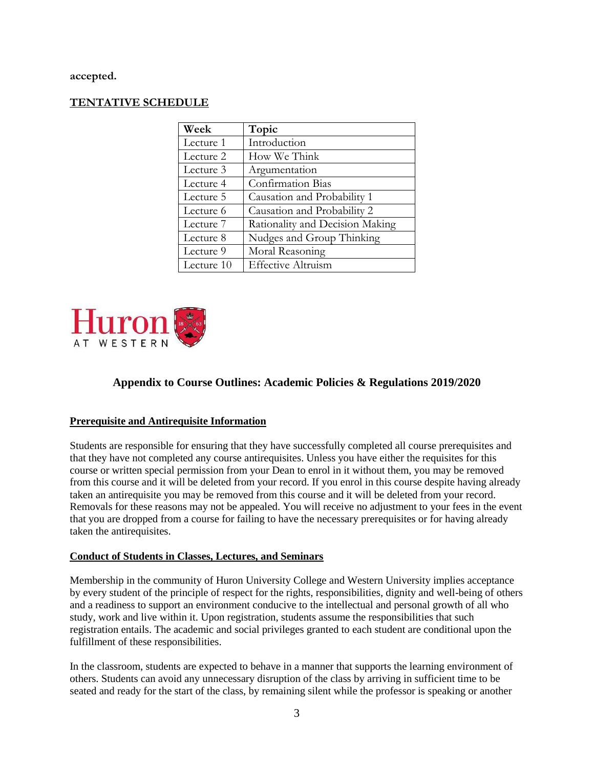**accepted.**

## **TENTATIVE SCHEDULE**

| Week       | Topic                           |
|------------|---------------------------------|
| Lecture 1  | Introduction                    |
| Lecture 2  | How We Think                    |
| Lecture 3  | Argumentation                   |
| Lecture 4  | <b>Confirmation Bias</b>        |
| Lecture 5  | Causation and Probability 1     |
| Lecture 6  | Causation and Probability 2     |
| Lecture 7  | Rationality and Decision Making |
| Lecture 8  | Nudges and Group Thinking       |
| Lecture 9  | Moral Reasoning                 |
| Lecture 10 | <b>Effective Altruism</b>       |



## **Appendix to Course Outlines: Academic Policies & Regulations 2019/2020**

#### **Prerequisite and Antirequisite Information**

Students are responsible for ensuring that they have successfully completed all course prerequisites and that they have not completed any course antirequisites. Unless you have either the requisites for this course or written special permission from your Dean to enrol in it without them, you may be removed from this course and it will be deleted from your record. If you enrol in this course despite having already taken an antirequisite you may be removed from this course and it will be deleted from your record. Removals for these reasons may not be appealed. You will receive no adjustment to your fees in the event that you are dropped from a course for failing to have the necessary prerequisites or for having already taken the antirequisites.

#### **Conduct of Students in Classes, Lectures, and Seminars**

Membership in the community of Huron University College and Western University implies acceptance by every student of the principle of respect for the rights, responsibilities, dignity and well-being of others and a readiness to support an environment conducive to the intellectual and personal growth of all who study, work and live within it. Upon registration, students assume the responsibilities that such registration entails. The academic and social privileges granted to each student are conditional upon the fulfillment of these responsibilities.

In the classroom, students are expected to behave in a manner that supports the learning environment of others. Students can avoid any unnecessary disruption of the class by arriving in sufficient time to be seated and ready for the start of the class, by remaining silent while the professor is speaking or another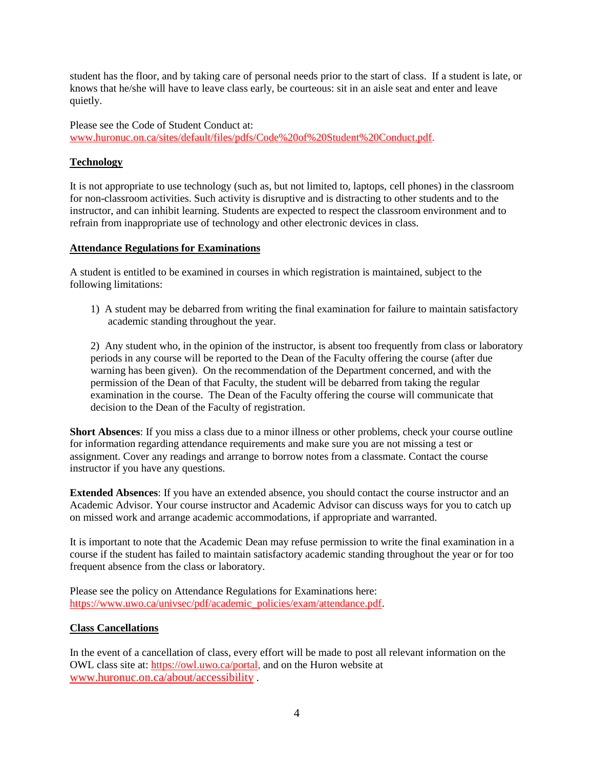student has the floor, and by taking care of personal needs prior to the start of class. If a student is late, or knows that he/she will have to leave class early, be courteous: sit in an aisle seat and enter and leave quietly.

Please see the Code of Student Conduct at: [www.huronuc.on.ca/sites/default/files/pdfs/Code%20of%20Student%20Conduct.pdf.](http://www.huronuc.on.ca/sites/default/files/pdfs/Code%20of%20Student%20Conduct.pdf)

## **Technology**

It is not appropriate to use technology (such as, but not limited to, laptops, cell phones) in the classroom for non-classroom activities. Such activity is disruptive and is distracting to other students and to the instructor, and can inhibit learning. Students are expected to respect the classroom environment and to refrain from inappropriate use of technology and other electronic devices in class.

#### **Attendance Regulations for Examinations**

A student is entitled to be examined in courses in which registration is maintained, subject to the following limitations:

1) A student may be debarred from writing the final examination for failure to maintain satisfactory academic standing throughout the year.

2) Any student who, in the opinion of the instructor, is absent too frequently from class or laboratory periods in any course will be reported to the Dean of the Faculty offering the course (after due warning has been given). On the recommendation of the Department concerned, and with the permission of the Dean of that Faculty, the student will be debarred from taking the regular examination in the course. The Dean of the Faculty offering the course will communicate that decision to the Dean of the Faculty of registration.

**Short Absences**: If you miss a class due to a minor illness or other problems, check your course outline for information regarding attendance requirements and make sure you are not missing a test or assignment. Cover any readings and arrange to borrow notes from a classmate. Contact the course instructor if you have any questions.

**Extended Absences**: If you have an extended absence, you should contact the course instructor and an Academic Advisor. Your course instructor and Academic Advisor can discuss ways for you to catch up on missed work and arrange academic accommodations, if appropriate and warranted.

It is important to note that the Academic Dean may refuse permission to write the final examination in a course if the student has failed to maintain satisfactory academic standing throughout the year or for too frequent absence from the class or laboratory.

Please see the policy on Attendance Regulations for Examinations here: [https://www.uwo.ca/univsec/pdf/academic\\_policies/exam/attendance.pdf.](https://www.uwo.ca/univsec/pdf/academic_policies/exam/attendance.pdf)

#### **Class Cancellations**

In the event of a cancellation of class, every effort will be made to post all relevant information on the OWL class site at: [https://owl.uwo.ca/portal,](https://owl.uwo.ca/portal) and on the Huron website at [www.huronuc.on.ca/about/accessibility](http://www.huronuc.on.ca/about/accessibility) .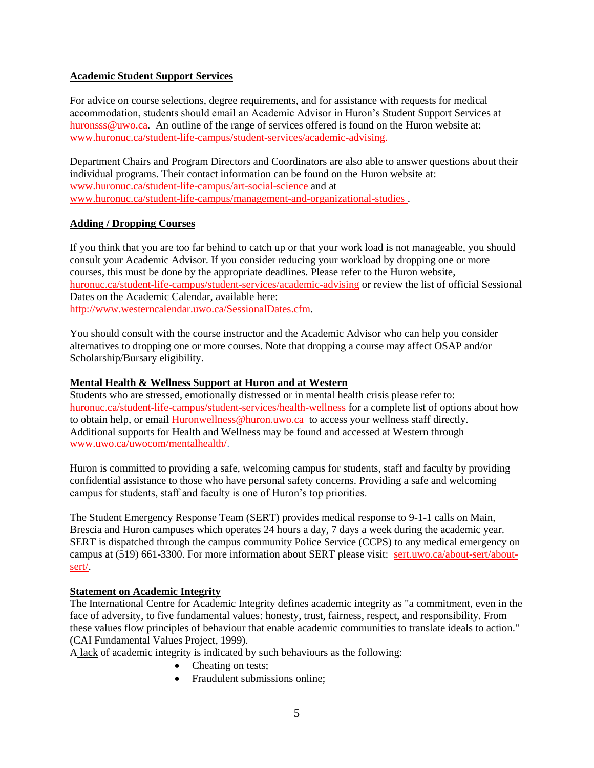#### **Academic Student Support Services**

For advice on course selections, degree requirements, and for assistance with requests for medical accommodation, students should email an Academic Advisor in Huron's Student Support Services at [huronsss@uwo.ca.](mailto:huronsss@uwo.ca) An outline of the range of services offered is found on the Huron website at: [www.huronuc.ca/student-life-campus/student-services/academic-advising.](http://www.huronuc.ca/student-life-campus/student-services/academic-advising)

Department Chairs and Program Directors and Coordinators are also able to answer questions about their individual programs. Their contact information can be found on the Huron website at: [www.huronuc.ca/student-life-campus/art-social-science](http://www.huronuc.ca/student-life-campus/art-social-science) and at [www.huronuc.ca/student-life-campus/management-and-organizational-studies](http://www.huronuc.ca/student-life-campus/management-and-organizational-studies) .

#### **Adding / Dropping Courses**

If you think that you are too far behind to catch up or that your work load is not manageable, you should consult your Academic Advisor. If you consider reducing your workload by dropping one or more courses, this must be done by the appropriate deadlines. Please refer to the Huron website, [huronuc.ca/student-life-campus/student-services/academic-advising](https://huronuc.ca/student-life-campus/student-services/academic-advising) or review the list of official Sessional Dates on the Academic Calendar, available here: [http://www.westerncalendar.uwo.ca/SessionalDates.cfm.](http://www.westerncalendar.uwo.ca/SessionalDates.cfm)

You should consult with the course instructor and the Academic Advisor who can help you consider alternatives to dropping one or more courses. Note that dropping a course may affect OSAP and/or Scholarship/Bursary eligibility.

#### **Mental Health & Wellness Support at Huron and at Western**

Students who are stressed, emotionally distressed or in mental health crisis please refer to: [huronuc.ca/student-life-campus/student-services/health-wellness](https://huronuc.ca/student-life-campus/student-services/health-wellness) for a complete list of options about how to obtain help, or email [Huronwellness@huron.uwo.ca](mailto:Huronwellness@huron.uwo.ca) to access your wellness staff directly. Additional supports for Health and Wellness may be found and accessed at Western through [www.uwo.ca/uwocom/mentalhealth/.](http://www.uwo.ca/uwocom/mentalhealth/)

Huron is committed to providing a safe, welcoming campus for students, staff and faculty by providing confidential assistance to those who have personal safety concerns. Providing a safe and welcoming campus for students, staff and faculty is one of Huron's top priorities.

The Student Emergency Response Team (SERT) provides medical response to 9-1-1 calls on Main, Brescia and Huron campuses which operates 24 hours a day, 7 days a week during the academic year. SERT is dispatched through the campus community Police Service (CCPS) to any medical emergency on campus at (519) 661-3300. For more information about SERT please visit: [sert.uwo.ca/about-sert/about](https://sert.uwo.ca/about-sert/about-sert/)[sert/.](https://sert.uwo.ca/about-sert/about-sert/)

#### **Statement on Academic Integrity**

The International Centre for Academic Integrity defines academic integrity as "a commitment, even in the face of adversity, to five fundamental values: honesty, trust, fairness, respect, and responsibility. From these values flow principles of behaviour that enable academic communities to translate ideals to action." (CAI Fundamental Values Project, 1999).

A lack of academic integrity is indicated by such behaviours as the following:

- Cheating on tests;
- Fraudulent submissions online;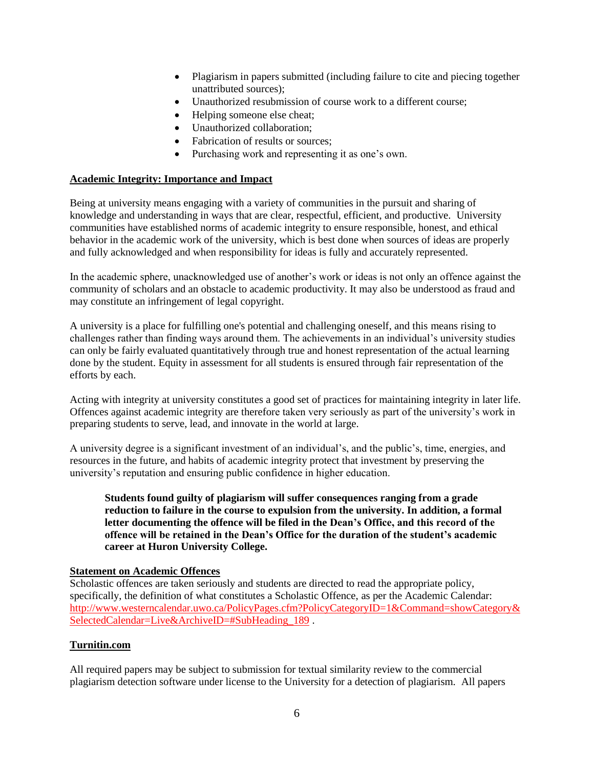- Plagiarism in papers submitted (including failure to cite and piecing together unattributed sources);
- Unauthorized resubmission of course work to a different course;
- Helping someone else cheat;
- Unauthorized collaboration;
- Fabrication of results or sources;
- Purchasing work and representing it as one's own.

#### **Academic Integrity: Importance and Impact**

Being at university means engaging with a variety of communities in the pursuit and sharing of knowledge and understanding in ways that are clear, respectful, efficient, and productive. University communities have established norms of academic integrity to ensure responsible, honest, and ethical behavior in the academic work of the university, which is best done when sources of ideas are properly and fully acknowledged and when responsibility for ideas is fully and accurately represented.

In the academic sphere, unacknowledged use of another's work or ideas is not only an offence against the community of scholars and an obstacle to academic productivity. It may also be understood as fraud and may constitute an infringement of legal copyright.

A university is a place for fulfilling one's potential and challenging oneself, and this means rising to challenges rather than finding ways around them. The achievements in an individual's university studies can only be fairly evaluated quantitatively through true and honest representation of the actual learning done by the student. Equity in assessment for all students is ensured through fair representation of the efforts by each.

Acting with integrity at university constitutes a good set of practices for maintaining integrity in later life. Offences against academic integrity are therefore taken very seriously as part of the university's work in preparing students to serve, lead, and innovate in the world at large.

A university degree is a significant investment of an individual's, and the public's, time, energies, and resources in the future, and habits of academic integrity protect that investment by preserving the university's reputation and ensuring public confidence in higher education.

**Students found guilty of plagiarism will suffer consequences ranging from a grade reduction to failure in the course to expulsion from the university. In addition, a formal letter documenting the offence will be filed in the Dean's Office, and this record of the offence will be retained in the Dean's Office for the duration of the student's academic career at Huron University College.**

#### **Statement on Academic Offences**

Scholastic offences are taken seriously and students are directed to read the appropriate policy, specifically, the definition of what constitutes a Scholastic Offence, as per the Academic Calendar: [http://www.westerncalendar.uwo.ca/PolicyPages.cfm?PolicyCategoryID=1&Command=showCategory&](http://www.westerncalendar.uwo.ca/PolicyPages.cfm?PolicyCategoryID=1&Command=showCategory&SelectedCalendar=Live&ArchiveID=#SubHeading_189) [SelectedCalendar=Live&ArchiveID=#SubHeading\\_189](http://www.westerncalendar.uwo.ca/PolicyPages.cfm?PolicyCategoryID=1&Command=showCategory&SelectedCalendar=Live&ArchiveID=#SubHeading_189) .

#### **Turnitin.com**

All required papers may be subject to submission for textual similarity review to the commercial plagiarism detection software under license to the University for a detection of plagiarism. All papers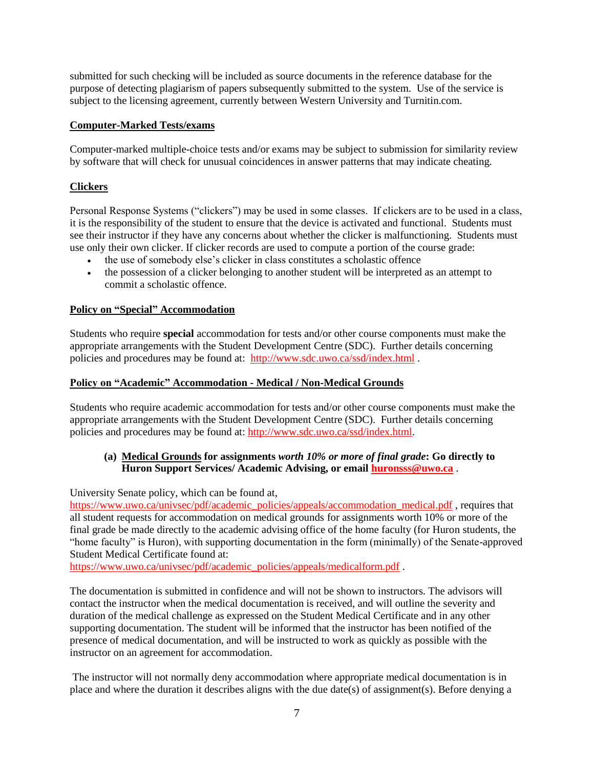submitted for such checking will be included as source documents in the reference database for the purpose of detecting plagiarism of papers subsequently submitted to the system. Use of the service is subject to the licensing agreement, currently between Western University and Turnitin.com.

## **Computer-Marked Tests/exams**

Computer-marked multiple-choice tests and/or exams may be subject to submission for similarity review by software that will check for unusual coincidences in answer patterns that may indicate cheating.

## **Clickers**

Personal Response Systems ("clickers") may be used in some classes. If clickers are to be used in a class, it is the responsibility of the student to ensure that the device is activated and functional. Students must see their instructor if they have any concerns about whether the clicker is malfunctioning. Students must use only their own clicker. If clicker records are used to compute a portion of the course grade:

- the use of somebody else's clicker in class constitutes a scholastic offence
- the possession of a clicker belonging to another student will be interpreted as an attempt to commit a scholastic offence.

### **Policy on "Special" Accommodation**

Students who require **special** accommodation for tests and/or other course components must make the appropriate arrangements with the Student Development Centre (SDC). Further details concerning policies and procedures may be found at: <http://www.sdc.uwo.ca/ssd/index.html> .

#### **Policy on "Academic" Accommodation - Medical / Non-Medical Grounds**

Students who require academic accommodation for tests and/or other course components must make the appropriate arrangements with the Student Development Centre (SDC). Further details concerning policies and procedures may be found at: [http://www.sdc.uwo.ca/ssd/index.html.](http://www.sdc.uwo.ca/ssd/index.html)

### **(a) Medical Grounds for assignments** *worth 10% or more of final grade***: Go directly to Huron Support Services/ Academic Advising, or emai[l huronsss@uwo.ca](mailto:huronsss@uwo.ca)** .

University Senate policy, which can be found at,

[https://www.uwo.ca/univsec/pdf/academic\\_policies/appeals/accommodation\\_medical.pdf](https://www.uwo.ca/univsec/pdf/academic_policies/appeals/accommodation_medical.pdf), requires that all student requests for accommodation on medical grounds for assignments worth 10% or more of the final grade be made directly to the academic advising office of the home faculty (for Huron students, the "home faculty" is Huron), with supporting documentation in the form (minimally) of the Senate-approved Student Medical Certificate found at:

[https://www.uwo.ca/univsec/pdf/academic\\_policies/appeals/medicalform.pdf](https://www.uwo.ca/univsec/pdf/academic_policies/appeals/medicalform.pdf).

The documentation is submitted in confidence and will not be shown to instructors. The advisors will contact the instructor when the medical documentation is received, and will outline the severity and duration of the medical challenge as expressed on the Student Medical Certificate and in any other supporting documentation. The student will be informed that the instructor has been notified of the presence of medical documentation, and will be instructed to work as quickly as possible with the instructor on an agreement for accommodation.

The instructor will not normally deny accommodation where appropriate medical documentation is in place and where the duration it describes aligns with the due date(s) of assignment(s). Before denying a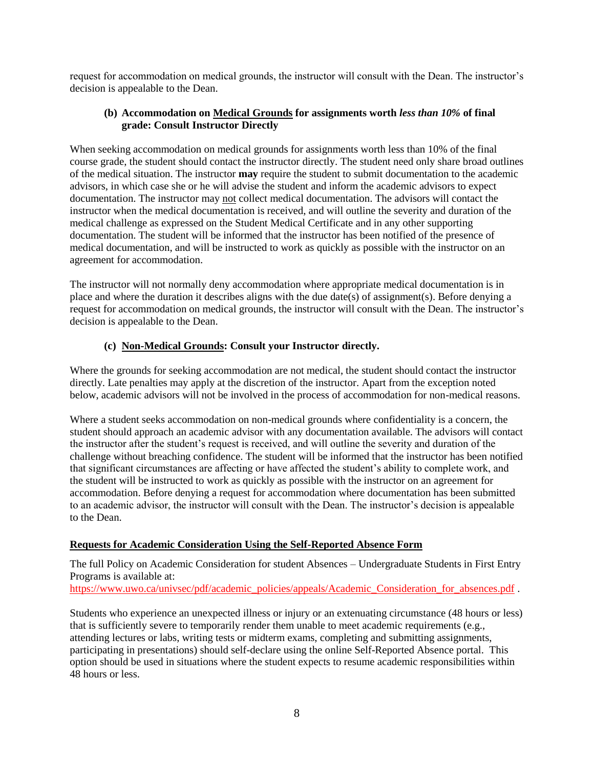request for accommodation on medical grounds, the instructor will consult with the Dean. The instructor's decision is appealable to the Dean.

## **(b) Accommodation on Medical Grounds for assignments worth** *less than 10%* **of final grade: Consult Instructor Directly**

When seeking accommodation on medical grounds for assignments worth less than 10% of the final course grade, the student should contact the instructor directly. The student need only share broad outlines of the medical situation. The instructor **may** require the student to submit documentation to the academic advisors, in which case she or he will advise the student and inform the academic advisors to expect documentation. The instructor may not collect medical documentation. The advisors will contact the instructor when the medical documentation is received, and will outline the severity and duration of the medical challenge as expressed on the Student Medical Certificate and in any other supporting documentation. The student will be informed that the instructor has been notified of the presence of medical documentation, and will be instructed to work as quickly as possible with the instructor on an agreement for accommodation.

The instructor will not normally deny accommodation where appropriate medical documentation is in place and where the duration it describes aligns with the due date(s) of assignment(s). Before denying a request for accommodation on medical grounds, the instructor will consult with the Dean. The instructor's decision is appealable to the Dean.

## **(c) Non-Medical Grounds: Consult your Instructor directly.**

Where the grounds for seeking accommodation are not medical, the student should contact the instructor directly. Late penalties may apply at the discretion of the instructor. Apart from the exception noted below, academic advisors will not be involved in the process of accommodation for non-medical reasons.

Where a student seeks accommodation on non-medical grounds where confidentiality is a concern, the student should approach an academic advisor with any documentation available. The advisors will contact the instructor after the student's request is received, and will outline the severity and duration of the challenge without breaching confidence. The student will be informed that the instructor has been notified that significant circumstances are affecting or have affected the student's ability to complete work, and the student will be instructed to work as quickly as possible with the instructor on an agreement for accommodation. Before denying a request for accommodation where documentation has been submitted to an academic advisor, the instructor will consult with the Dean. The instructor's decision is appealable to the Dean.

## **Requests for Academic Consideration Using the Self-Reported Absence Form**

The full Policy on Academic Consideration for student Absences – Undergraduate Students in First Entry Programs is available at: [https://www.uwo.ca/univsec/pdf/academic\\_policies/appeals/Academic\\_Consideration\\_for\\_absences.pdf](https://www.uwo.ca/univsec/pdf/academic_policies/appeals/Academic_Consideration_for_absences.pdf) .

Students who experience an unexpected illness or injury or an extenuating circumstance (48 hours or less) that is sufficiently severe to temporarily render them unable to meet academic requirements (e.g., attending lectures or labs, writing tests or midterm exams, completing and submitting assignments, participating in presentations) should self-declare using the online Self-Reported Absence portal. This option should be used in situations where the student expects to resume academic responsibilities within 48 hours or less.